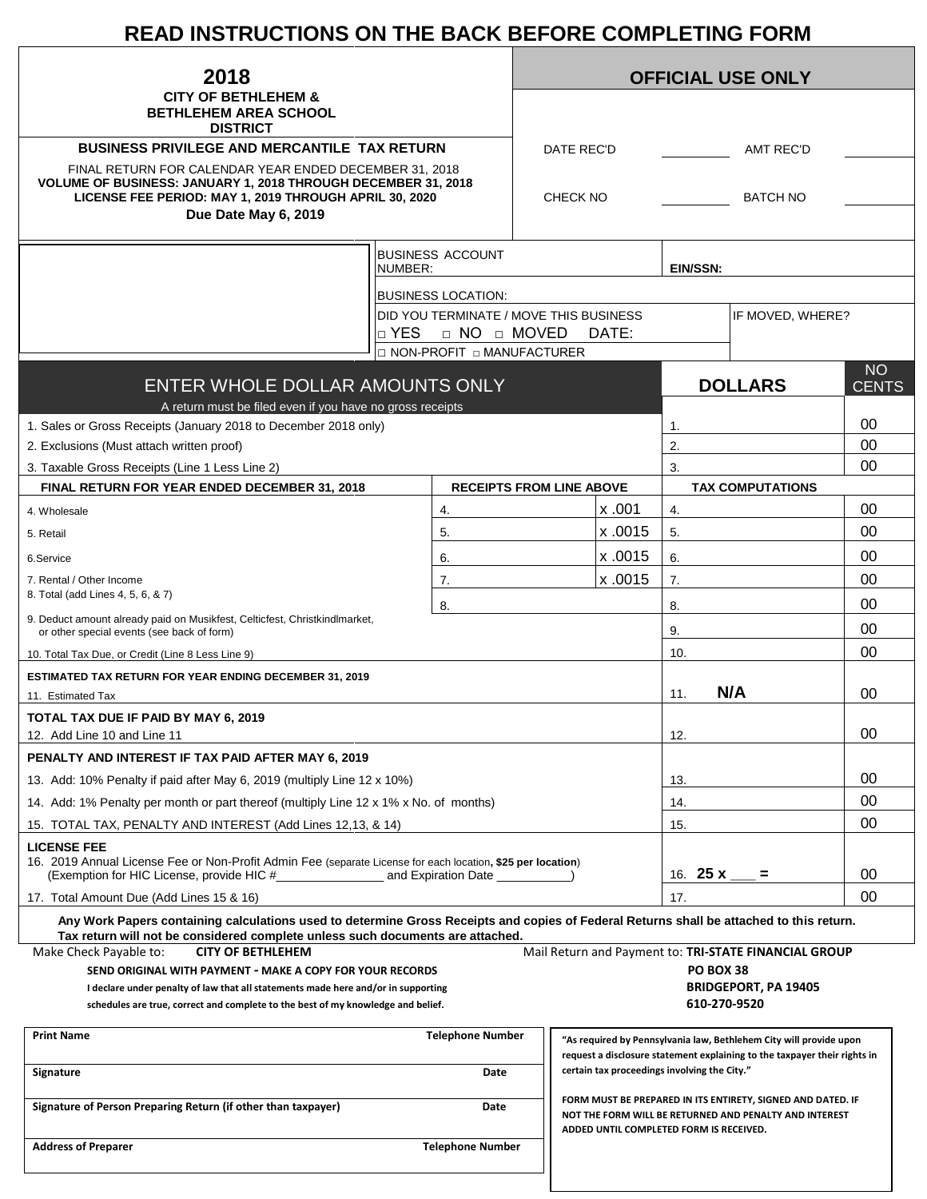# **READ INSTRUCTIONS ON THE BACK BEFORE COMPLETING FORM**

| 2018                                                                                                                                                                                                                       |            | <b>OFFICIAL USE ONLY</b>               |  |                                              |         |                                                                                                                                                                  |                                                                                                                                                 |              |  |
|----------------------------------------------------------------------------------------------------------------------------------------------------------------------------------------------------------------------------|------------|----------------------------------------|--|----------------------------------------------|---------|------------------------------------------------------------------------------------------------------------------------------------------------------------------|-------------------------------------------------------------------------------------------------------------------------------------------------|--------------|--|
| <b>CITY OF BETHLEHEM &amp;</b><br><b>BETHLEHEM AREA SCHOOL</b>                                                                                                                                                             |            |                                        |  |                                              |         |                                                                                                                                                                  |                                                                                                                                                 |              |  |
| <b>DISTRICT</b><br><b>BUSINESS PRIVILEGE AND MERCANTILE TAX RETURN</b>                                                                                                                                                     |            |                                        |  | DATE REC'D<br><b>AMT REC'D</b>               |         |                                                                                                                                                                  |                                                                                                                                                 |              |  |
| FINAL RETURN FOR CALENDAR YEAR ENDED DECEMBER 31, 2018<br>VOLUME OF BUSINESS: JANUARY 1, 2018 THROUGH DECEMBER 31, 2018<br>LICENSE FEE PERIOD: MAY 1, 2019 THROUGH APRIL 30, 2020<br>Due Date May 6, 2019                  |            |                                        |  | <b>BATCH NO</b><br><b>CHECK NO</b>           |         |                                                                                                                                                                  |                                                                                                                                                 |              |  |
|                                                                                                                                                                                                                            |            |                                        |  |                                              |         |                                                                                                                                                                  |                                                                                                                                                 |              |  |
|                                                                                                                                                                                                                            | NUMBER:    | <b>BUSINESS ACCOUNT</b>                |  |                                              |         | <b>EIN/SSN:</b>                                                                                                                                                  |                                                                                                                                                 |              |  |
|                                                                                                                                                                                                                            |            | <b>BUSINESS LOCATION:</b>              |  |                                              |         |                                                                                                                                                                  |                                                                                                                                                 |              |  |
|                                                                                                                                                                                                                            |            | DID YOU TERMINATE / MOVE THIS BUSINESS |  |                                              |         |                                                                                                                                                                  | IF MOVED, WHERE?                                                                                                                                |              |  |
|                                                                                                                                                                                                                            | $\Box$ YES | □ NO □ MOVED                           |  |                                              | DATE:   |                                                                                                                                                                  |                                                                                                                                                 |              |  |
|                                                                                                                                                                                                                            |            | □ NON-PROFIT □ MANUFACTURER            |  |                                              |         |                                                                                                                                                                  |                                                                                                                                                 | <b>NO</b>    |  |
| ENTER WHOLE DOLLAR AMOUNTS ONLY                                                                                                                                                                                            |            |                                        |  |                                              |         |                                                                                                                                                                  | <b>DOLLARS</b>                                                                                                                                  | <b>CENTS</b> |  |
| A return must be filed even if you have no gross receipts                                                                                                                                                                  |            |                                        |  |                                              |         |                                                                                                                                                                  |                                                                                                                                                 |              |  |
| 1. Sales or Gross Receipts (January 2018 to December 2018 only)                                                                                                                                                            |            |                                        |  |                                              |         | 1.                                                                                                                                                               |                                                                                                                                                 | 00           |  |
| 2. Exclusions (Must attach written proof)                                                                                                                                                                                  |            |                                        |  | 2.                                           |         |                                                                                                                                                                  |                                                                                                                                                 | 00<br>00     |  |
| 3. Taxable Gross Receipts (Line 1 Less Line 2)<br><b>FINAL RETURN FOR YEAR ENDED DECEMBER 31, 2018</b>                                                                                                                     |            | <b>RECEIPTS FROM LINE ABOVE</b>        |  |                                              |         | 3.                                                                                                                                                               | <b>TAX COMPUTATIONS</b>                                                                                                                         |              |  |
|                                                                                                                                                                                                                            |            | 4.                                     |  |                                              | x.001   | 4.                                                                                                                                                               |                                                                                                                                                 | 00           |  |
| 4. Wholesale<br>5. Retail                                                                                                                                                                                                  |            | 5.                                     |  |                                              | x.0015  | 5.                                                                                                                                                               |                                                                                                                                                 | 00           |  |
|                                                                                                                                                                                                                            |            |                                        |  |                                              | x .0015 |                                                                                                                                                                  |                                                                                                                                                 | 00           |  |
| 6.Service<br>7. Rental / Other Income                                                                                                                                                                                      |            | 6.                                     |  |                                              | x.0015  | 6.<br>7.                                                                                                                                                         |                                                                                                                                                 | 00           |  |
| 8. Total (add Lines 4, 5, 6, & 7)                                                                                                                                                                                          |            | 7.                                     |  |                                              |         |                                                                                                                                                                  |                                                                                                                                                 |              |  |
| 9. Deduct amount already paid on Musikfest, Celticfest, Christkindlmarket,                                                                                                                                                 |            | 8.                                     |  |                                              |         | 8.                                                                                                                                                               |                                                                                                                                                 | 00           |  |
| or other special events (see back of form)                                                                                                                                                                                 |            |                                        |  |                                              | 9.      |                                                                                                                                                                  | 00                                                                                                                                              |              |  |
| 10. Total Tax Due, or Credit (Line 8 Less Line 9)                                                                                                                                                                          |            |                                        |  |                                              |         | 10.                                                                                                                                                              |                                                                                                                                                 | 00           |  |
| <b>ESTIMATED TAX RETURN FOR YEAR ENDING DECEMBER 31, 2019</b>                                                                                                                                                              |            |                                        |  |                                              |         | 11.                                                                                                                                                              | N/A                                                                                                                                             | 00           |  |
| 11. Estimated Tax                                                                                                                                                                                                          |            |                                        |  |                                              |         |                                                                                                                                                                  |                                                                                                                                                 |              |  |
| TOTAL TAX DUE IF PAID BY MAY 6, 2019<br>12. Add Line 10 and Line 11                                                                                                                                                        |            |                                        |  |                                              |         | 12.                                                                                                                                                              |                                                                                                                                                 | 00           |  |
| PENALTY AND INTEREST IF TAX PAID AFTER MAY 6, 2019                                                                                                                                                                         |            |                                        |  |                                              |         |                                                                                                                                                                  |                                                                                                                                                 |              |  |
| 13. Add: 10% Penalty if paid after May 6, 2019 (multiply Line 12 x 10%)                                                                                                                                                    |            |                                        |  |                                              |         | 13.                                                                                                                                                              |                                                                                                                                                 | 00           |  |
| 14. Add: 1% Penalty per month or part thereof (multiply Line 12 x 1% x No. of months)                                                                                                                                      |            |                                        |  |                                              |         | 14.                                                                                                                                                              |                                                                                                                                                 | 00           |  |
| 15. TOTAL TAX, PENALTY AND INTEREST (Add Lines 12,13, & 14)                                                                                                                                                                |            |                                        |  |                                              |         | 15.                                                                                                                                                              |                                                                                                                                                 | 00           |  |
| <b>LICENSE FEE</b><br>16. 2019 Annual License Fee or Non-Profit Admin Fee (separate License for each location, \$25 per location)                                                                                          |            |                                        |  |                                              |         | 16. <b>25 x</b> ____                                                                                                                                             | Ξ.                                                                                                                                              | 00           |  |
| 17. Total Amount Due (Add Lines 15 & 16)                                                                                                                                                                                   |            |                                        |  |                                              |         | 17.                                                                                                                                                              |                                                                                                                                                 | 00           |  |
| Any Work Papers containing calculations used to determine Gross Receipts and copies of Federal Returns shall be attached to this return.<br>Tax return will not be considered complete unless such documents are attached. |            |                                        |  |                                              |         |                                                                                                                                                                  |                                                                                                                                                 |              |  |
| Make Check Payable to:<br><b>CITY OF BETHLEHEM</b>                                                                                                                                                                         |            |                                        |  |                                              |         |                                                                                                                                                                  | Mail Return and Payment to: TRI-STATE FINANCIAL GROUP                                                                                           |              |  |
| SEND ORIGINAL WITH PAYMENT - MAKE A COPY FOR YOUR RECORDS                                                                                                                                                                  |            |                                        |  |                                              |         | <b>PO BOX 38</b>                                                                                                                                                 |                                                                                                                                                 |              |  |
| I declare under penalty of law that all statements made here and/or in supporting<br>schedules are true, correct and complete to the best of my knowledge and belief.                                                      |            |                                        |  |                                              |         |                                                                                                                                                                  | <b>BRIDGEPORT, PA 19405</b><br>610-270-9520                                                                                                     |              |  |
|                                                                                                                                                                                                                            |            |                                        |  |                                              |         |                                                                                                                                                                  |                                                                                                                                                 |              |  |
| <b>Print Name</b>                                                                                                                                                                                                          |            | <b>Telephone Number</b>                |  |                                              |         |                                                                                                                                                                  | "As required by Pennsylvania law, Bethlehem City will provide upon<br>request a disclosure statement explaining to the taxpayer their rights in |              |  |
| Signature<br>Date                                                                                                                                                                                                          |            |                                        |  | certain tax proceedings involving the City." |         |                                                                                                                                                                  |                                                                                                                                                 |              |  |
| Signature of Person Preparing Return (if other than taxpayer)<br>Date                                                                                                                                                      |            |                                        |  |                                              |         | FORM MUST BE PREPARED IN ITS ENTIRETY, SIGNED AND DATED. IF<br>NOT THE FORM WILL BE RETURNED AND PENALTY AND INTEREST<br>ADDED UNTIL COMPLETED FORM IS RECEIVED. |                                                                                                                                                 |              |  |
| <b>Address of Preparer</b>                                                                                                                                                                                                 |            | <b>Telephone Number</b>                |  |                                              |         |                                                                                                                                                                  |                                                                                                                                                 |              |  |